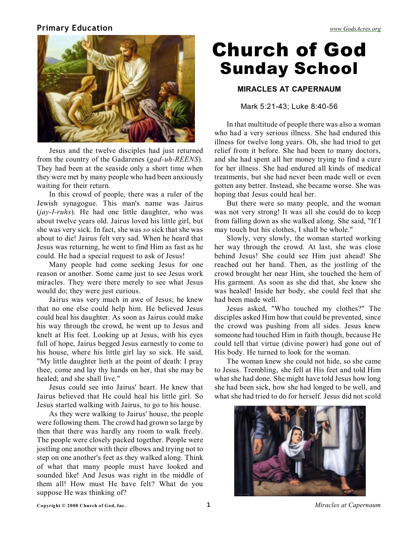### **Primary Education** *[www.GodsAcres.org](http://godsacres.org)*



Jesus and the twelve disciples had just returned from the country of the Gadarenes (*gad-uh-REENS*). They had been at the seaside only a short time when they were met by many people who had been anxiously waiting for their return.

In this crowd of people, there was a ruler of the Jewish synagogue. This man's name was Jairus (*jay-I-ruhs*). He had one little daughter, who was about twelve years old. Jairus loved his little girl, but she was very sick. In fact, she was *so* sick that she was about to die! Jairus felt very sad. When he heard that Jesus was returning, he went to find Him as fast as he could. He had a special request to ask of Jesus!

Many people had come seeking Jesus for one reason or another. Some came just to see Jesus work miracles. They were there merely to see what Jesus would do; they were just curious.

Jairus was very much in awe of Jesus; he knew that no one else could help him. He believed Jesus could heal his daughter. As soon as Jairus could make his way through the crowd, he went up to Jesus and knelt at His feet. Looking up at Jesus, with his eyes full of hope, Jairus begged Jesus earnestly to come to his house, where his little girl lay so sick. He said, "My little daughter lieth at the point of death: I pray thee, come and lay thy hands on her, that she may be healed; and she shall live."

Jesus could see into Jairus' heart. He knew that Jairus believed that He could heal his little girl. So Jesus started walking with Jairus, to go to his house.

As they were walking to Jairus' house, the people were following them. The crowd had grown so large by then that there was hardly any room to walk freely. The people were closely packed together. People were jostling one another with their elbows and trying not to step on one another's feet as they walked along. Think of what that many people must have looked and sounded like! And Jesus was right in the middle of them all! How must He have felt? What do you suppose He was thinking of?

# Church of God Sunday School

#### **MIRACLES AT CAPERNAUM**

Mark 5:21-43; Luke 8:40-56

In that multitude of people there was also a woman who had a very serious illness. She had endured this illness for twelve long years. Oh, she had tried to get relief from it before. She had been to many doctors, and she had spent all her money trying to find a cure for her illness. She had endured all kinds of medical treatments, but she had never been made well or even gotten any better. Instead, she became worse. She was hoping that Jesus could heal her.

But there were so many people, and the woman was not very strong! It was all she could do to keep from falling down as she walked along. She said, "If I may touch but his clothes, I shall be whole."

Slowly, very slowly, the woman started working her way through the crowd. At last, she was close behind Jesus! She could see Him just ahead! She reached out her hand. Then, as the jostling of the crowd brought her near Him, she touched the hem of His garment. As soon as she did that, she knew she was healed! Inside her body, she could feel that she had been made well.

Jesus asked, "Who touched my clothes?" The disciples asked Him how that could be prevented, since the crowd was pushing from all sides. Jesus knew someone had touched Him in faith though, because He could tell that virtue (divine power) had gone out of His body. He turned to look for the woman.

The woman knew she could not hide, so she came to Jesus. Trembling, she fell at His feet and told Him what she had done. She might have told Jesus how long she had been sick, how she had longed to be well, and what she had tried to do for herself. Jesus did not scold

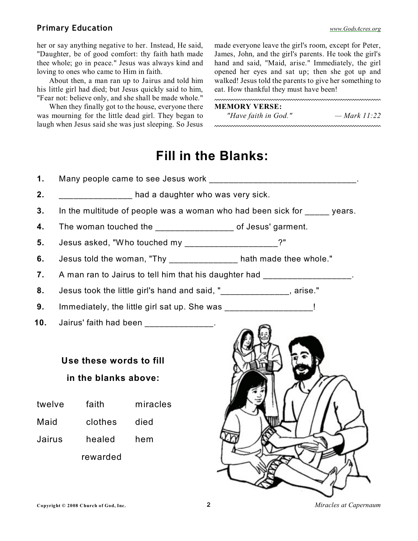#### **Primary Education** *[www.GodsAcres.org](http://godsacres.org)*

her or say anything negative to her. Instead, He said, "Daughter, be of good comfort: thy faith hath made thee whole; go in peace." Jesus was always kind and loving to ones who came to Him in faith.

About then, a man ran up to Jairus and told him his little girl had died; but Jesus quickly said to him, "Fear not: believe only, and she shall be made whole."

When they finally got to the house, everyone there was mourning for the little dead girl. They began to laugh when Jesus said she was just sleeping. So Jesus made everyone leave the girl's room, except for Peter, James, John, and the girl's parents. He took the girl's hand and said, "Maid, arise." Immediately, the girl opened her eyes and sat up; then she got up and walked! Jesus told the parents to give her something to eat. How thankful they must have been!

#### **MEMORY VERSE:**

*"Have faith in God." — Mark 11:22*

## **Fill in the Blanks:**

| 1.                   | Many people came to see Jesus work ___________________________________.   |         |          |                                                                   |
|----------------------|---------------------------------------------------------------------------|---------|----------|-------------------------------------------------------------------|
| 2.                   | and a daughter who was very sick.                                         |         |          |                                                                   |
| 3.                   | In the multitude of people was a woman who had been sick for _____ years. |         |          |                                                                   |
| 4.                   | The woman touched the _________________ of Jesus' garment.                |         |          |                                                                   |
| 5.                   | Jesus asked, "Who touched my _____________________?"                      |         |          |                                                                   |
| 6.                   |                                                                           |         |          | Jesus told the woman, "Thy _______________ hath made thee whole." |
| 7.                   | A man ran to Jairus to tell him that his daughter had __________________. |         |          |                                                                   |
| 8.                   | Jesus took the little girl's hand and said, "_______________, arise."     |         |          |                                                                   |
| 9.                   | Immediately, the little girl sat up. She was _____________________!       |         |          |                                                                   |
| 10.                  | Jairus' faith had been _______________.                                   |         |          |                                                                   |
|                      | Use these words to fill                                                   |         |          |                                                                   |
| in the blanks above: |                                                                           |         |          |                                                                   |
| twelve               |                                                                           | faith   | miracles |                                                                   |
| Maid                 |                                                                           | clothes | died     |                                                                   |
| Jairus               |                                                                           | healed  | hem      |                                                                   |
|                      | rewarded                                                                  |         |          |                                                                   |
|                      |                                                                           |         |          |                                                                   |
|                      |                                                                           |         |          |                                                                   |